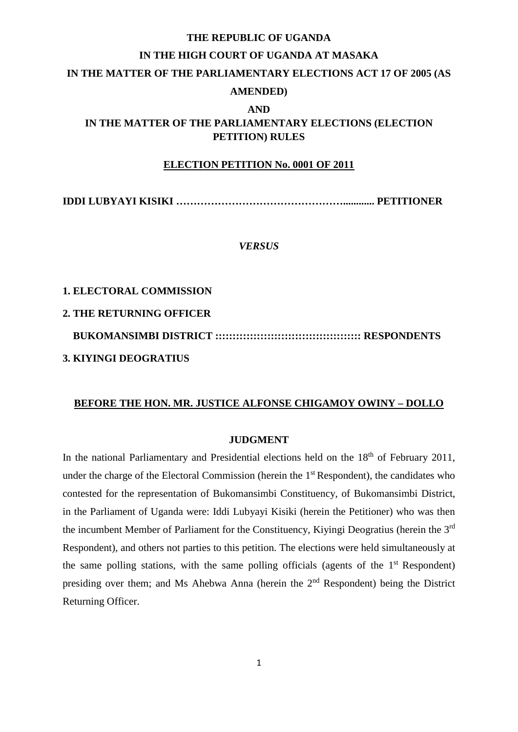# **THE REPUBLIC OF UGANDA IN THE HIGH COURT OF UGANDA AT MASAKA IN THE MATTER OF THE PARLIAMENTARY ELECTIONS ACT 17 OF 2005 (AS AMENDED) AND**

# **IN THE MATTER OF THE PARLIAMENTARY ELECTIONS (ELECTION PETITION) RULES**

### **ELECTION PETITION No. 0001 OF 2011**

**IDDI LUBYAYI KISIKI …………………………………………............ PETITIONER**

*VERSUS* 

### **1. ELECTORAL COMMISSION**

### **2. THE RETURNING OFFICER**

 **BUKOMANSIMBI DISTRICT :::::::::::::::::::::::::::::::::::::::::: RESPONDENTS 3. KIYINGI DEOGRATIUS** 

### **BEFORE THE HON. MR. JUSTICE ALFONSE CHIGAMOY OWINY – DOLLO**

#### **JUDGMENT**

In the national Parliamentary and Presidential elections held on the 18<sup>th</sup> of February 2011, under the charge of the Electoral Commission (herein the 1<sup>st</sup> Respondent), the candidates who contested for the representation of Bukomansimbi Constituency, of Bukomansimbi District, in the Parliament of Uganda were: Iddi Lubyayi Kisiki (herein the Petitioner) who was then the incumbent Member of Parliament for the Constituency, Kiyingi Deogratius (herein the 3rd Respondent), and others not parties to this petition. The elections were held simultaneously at the same polling stations, with the same polling officials (agents of the  $1<sup>st</sup>$  Respondent) presiding over them; and Ms Ahebwa Anna (herein the 2nd Respondent) being the District Returning Officer.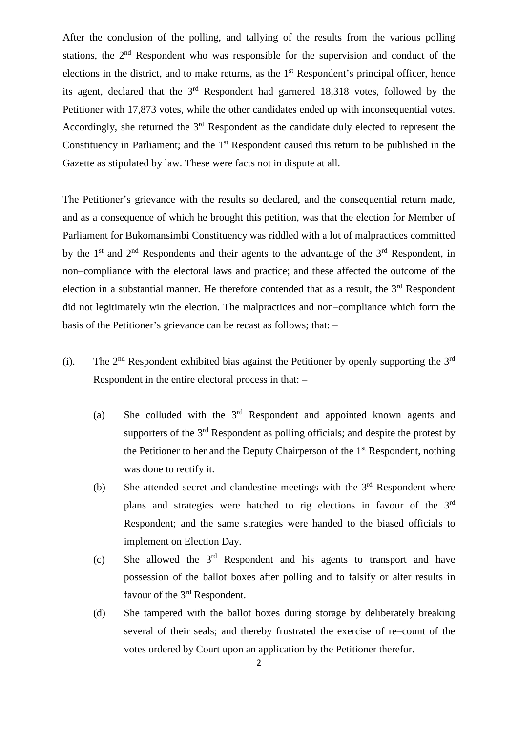After the conclusion of the polling, and tallying of the results from the various polling stations, the 2<sup>nd</sup> Respondent who was responsible for the supervision and conduct of the elections in the district, and to make returns, as the  $1<sup>st</sup>$  Respondent's principal officer, hence its agent, declared that the 3rd Respondent had garnered 18,318 votes, followed by the Petitioner with 17,873 votes, while the other candidates ended up with inconsequential votes. Accordingly, she returned the 3<sup>rd</sup> Respondent as the candidate duly elected to represent the Constituency in Parliament; and the 1<sup>st</sup> Respondent caused this return to be published in the Gazette as stipulated by law. These were facts not in dispute at all.

The Petitioner's grievance with the results so declared, and the consequential return made, and as a consequence of which he brought this petition, was that the election for Member of Parliament for Bukomansimbi Constituency was riddled with a lot of malpractices committed by the  $1<sup>st</sup>$  and  $2<sup>nd</sup>$  Respondents and their agents to the advantage of the  $3<sup>rd</sup>$  Respondent, in non–compliance with the electoral laws and practice; and these affected the outcome of the election in a substantial manner. He therefore contended that as a result, the  $3<sup>rd</sup>$  Respondent did not legitimately win the election. The malpractices and non–compliance which form the basis of the Petitioner's grievance can be recast as follows; that: –

- (i). The  $2<sup>nd</sup>$  Respondent exhibited bias against the Petitioner by openly supporting the  $3<sup>rd</sup>$ Respondent in the entire electoral process in that: –
	- (a) She colluded with the  $3<sup>rd</sup>$  Respondent and appointed known agents and supporters of the 3<sup>rd</sup> Respondent as polling officials; and despite the protest by the Petitioner to her and the Deputy Chairperson of the  $1<sup>st</sup>$  Respondent, nothing was done to rectify it.
	- (b) She attended secret and clandestine meetings with the  $3<sup>rd</sup>$  Respondent where plans and strategies were hatched to rig elections in favour of the 3rd Respondent; and the same strategies were handed to the biased officials to implement on Election Day.
	- (c) She allowed the 3rd Respondent and his agents to transport and have possession of the ballot boxes after polling and to falsify or alter results in favour of the 3<sup>rd</sup> Respondent.
	- (d) She tampered with the ballot boxes during storage by deliberately breaking several of their seals; and thereby frustrated the exercise of re–count of the votes ordered by Court upon an application by the Petitioner therefor.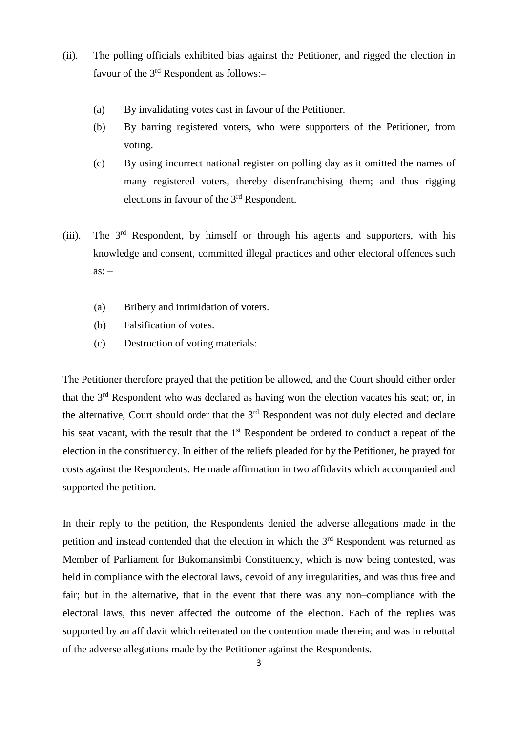- (ii). The polling officials exhibited bias against the Petitioner, and rigged the election in favour of the  $3<sup>rd</sup>$  Respondent as follows:-
	- (a) By invalidating votes cast in favour of the Petitioner.
	- (b) By barring registered voters, who were supporters of the Petitioner, from voting.
	- (c) By using incorrect national register on polling day as it omitted the names of many registered voters, thereby disenfranchising them; and thus rigging elections in favour of the 3rd Respondent.
- (iii). The 3rd Respondent, by himself or through his agents and supporters, with his knowledge and consent, committed illegal practices and other electoral offences such  $\overline{as}$ : –
	- (a) Bribery and intimidation of voters.
	- (b) Falsification of votes.
	- (c) Destruction of voting materials:

The Petitioner therefore prayed that the petition be allowed, and the Court should either order that the 3<sup>rd</sup> Respondent who was declared as having won the election vacates his seat; or, in the alternative, Court should order that the  $3<sup>rd</sup>$  Respondent was not duly elected and declare his seat vacant, with the result that the 1<sup>st</sup> Respondent be ordered to conduct a repeat of the election in the constituency. In either of the reliefs pleaded for by the Petitioner, he prayed for costs against the Respondents. He made affirmation in two affidavits which accompanied and supported the petition.

In their reply to the petition, the Respondents denied the adverse allegations made in the petition and instead contended that the election in which the 3<sup>rd</sup> Respondent was returned as Member of Parliament for Bukomansimbi Constituency, which is now being contested, was held in compliance with the electoral laws, devoid of any irregularities, and was thus free and fair; but in the alternative, that in the event that there was any non–compliance with the electoral laws, this never affected the outcome of the election. Each of the replies was supported by an affidavit which reiterated on the contention made therein; and was in rebuttal of the adverse allegations made by the Petitioner against the Respondents.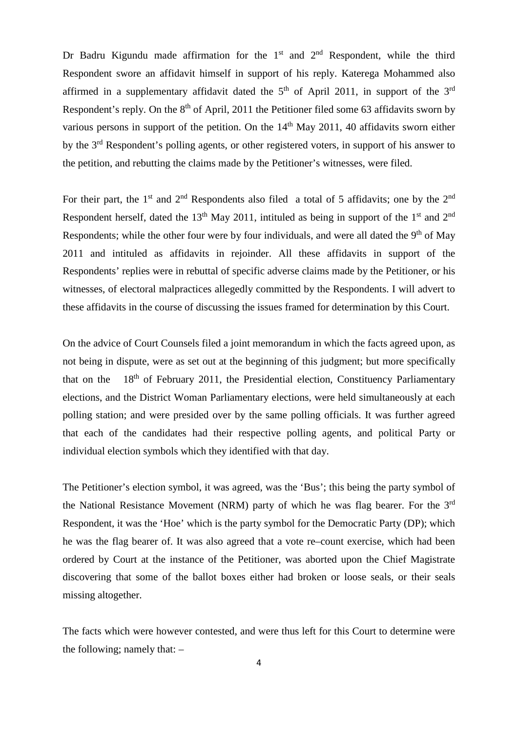Dr Badru Kigundu made affirmation for the  $1<sup>st</sup>$  and  $2<sup>nd</sup>$  Respondent, while the third Respondent swore an affidavit himself in support of his reply. Katerega Mohammed also affirmed in a supplementary affidavit dated the  $5<sup>th</sup>$  of April 2011, in support of the  $3<sup>rd</sup>$ Respondent's reply. On the 8<sup>th</sup> of April, 2011 the Petitioner filed some 63 affidavits sworn by various persons in support of the petition. On the  $14<sup>th</sup>$  May 2011, 40 affidavits sworn either by the 3rd Respondent's polling agents, or other registered voters, in support of his answer to the petition, and rebutting the claims made by the Petitioner's witnesses, were filed.

For their part, the 1<sup>st</sup> and 2<sup>nd</sup> Respondents also filed a total of 5 affidavits; one by the 2<sup>nd</sup> Respondent herself, dated the  $13<sup>th</sup>$  May 2011, intituled as being in support of the 1<sup>st</sup> and  $2<sup>nd</sup>$ Respondents; while the other four were by four individuals, and were all dated the  $9<sup>th</sup>$  of May 2011 and intituled as affidavits in rejoinder. All these affidavits in support of the Respondents' replies were in rebuttal of specific adverse claims made by the Petitioner, or his witnesses, of electoral malpractices allegedly committed by the Respondents. I will advert to these affidavits in the course of discussing the issues framed for determination by this Court.

On the advice of Court Counsels filed a joint memorandum in which the facts agreed upon, as not being in dispute, were as set out at the beginning of this judgment; but more specifically that on the  $18<sup>th</sup>$  of February 2011, the Presidential election, Constituency Parliamentary elections, and the District Woman Parliamentary elections, were held simultaneously at each polling station; and were presided over by the same polling officials. It was further agreed that each of the candidates had their respective polling agents, and political Party or individual election symbols which they identified with that day.

The Petitioner's election symbol, it was agreed, was the 'Bus'; this being the party symbol of the National Resistance Movement (NRM) party of which he was flag bearer. For the 3rd Respondent, it was the 'Hoe' which is the party symbol for the Democratic Party (DP); which he was the flag bearer of. It was also agreed that a vote re–count exercise, which had been ordered by Court at the instance of the Petitioner, was aborted upon the Chief Magistrate discovering that some of the ballot boxes either had broken or loose seals, or their seals missing altogether.

The facts which were however contested, and were thus left for this Court to determine were the following; namely that: –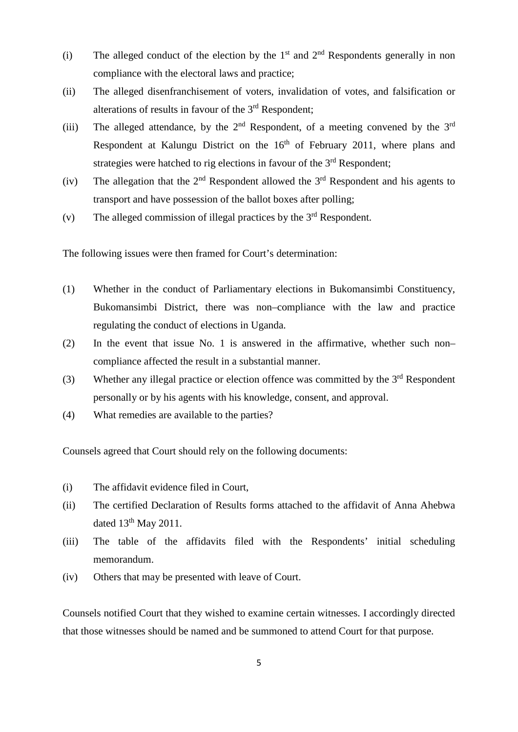- (i) The alleged conduct of the election by the  $1<sup>st</sup>$  and  $2<sup>nd</sup>$  Respondents generally in non compliance with the electoral laws and practice;
- (ii) The alleged disenfranchisement of voters, invalidation of votes, and falsification or alterations of results in favour of the  $3<sup>rd</sup>$  Respondent;
- (iii) The alleged attendance, by the  $2<sup>nd</sup>$  Respondent, of a meeting convened by the  $3<sup>rd</sup>$ Respondent at Kalungu District on the  $16<sup>th</sup>$  of February 2011, where plans and strategies were hatched to rig elections in favour of the  $3<sup>rd</sup>$  Respondent;
- (iv) The allegation that the  $2<sup>nd</sup>$  Respondent allowed the  $3<sup>rd</sup>$  Respondent and his agents to transport and have possession of the ballot boxes after polling;
- (v) The alleged commission of illegal practices by the  $3<sup>rd</sup>$  Respondent.

The following issues were then framed for Court's determination:

- (1) Whether in the conduct of Parliamentary elections in Bukomansimbi Constituency, Bukomansimbi District, there was non–compliance with the law and practice regulating the conduct of elections in Uganda.
- (2) In the event that issue No. 1 is answered in the affirmative, whether such non– compliance affected the result in a substantial manner.
- (3) Whether any illegal practice or election offence was committed by the  $3<sup>rd</sup>$  Respondent personally or by his agents with his knowledge, consent, and approval.
- (4) What remedies are available to the parties?

Counsels agreed that Court should rely on the following documents:

- (i) The affidavit evidence filed in Court,
- (ii) The certified Declaration of Results forms attached to the affidavit of Anna Ahebwa dated  $13<sup>th</sup>$  May 2011.
- (iii) The table of the affidavits filed with the Respondents' initial scheduling memorandum.
- (iv) Others that may be presented with leave of Court.

Counsels notified Court that they wished to examine certain witnesses. I accordingly directed that those witnesses should be named and be summoned to attend Court for that purpose.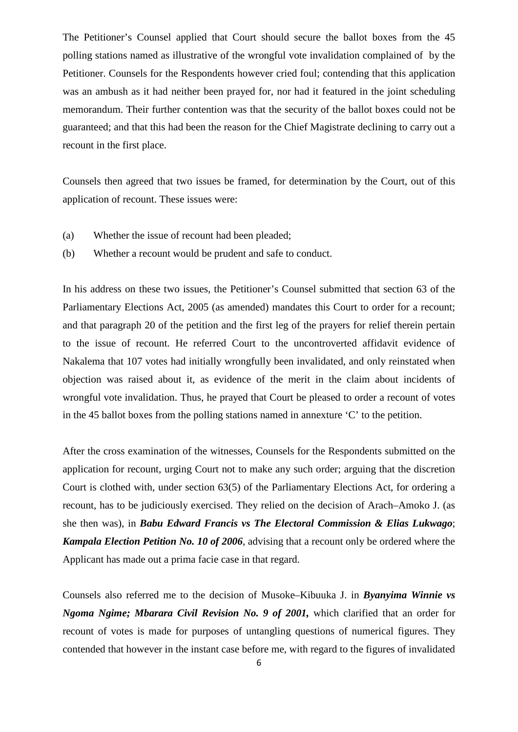The Petitioner's Counsel applied that Court should secure the ballot boxes from the 45 polling stations named as illustrative of the wrongful vote invalidation complained of by the Petitioner. Counsels for the Respondents however cried foul; contending that this application was an ambush as it had neither been prayed for, nor had it featured in the joint scheduling memorandum. Their further contention was that the security of the ballot boxes could not be guaranteed; and that this had been the reason for the Chief Magistrate declining to carry out a recount in the first place.

Counsels then agreed that two issues be framed, for determination by the Court, out of this application of recount. These issues were:

- (a) Whether the issue of recount had been pleaded;
- (b) Whether a recount would be prudent and safe to conduct.

In his address on these two issues, the Petitioner's Counsel submitted that section 63 of the Parliamentary Elections Act, 2005 (as amended) mandates this Court to order for a recount; and that paragraph 20 of the petition and the first leg of the prayers for relief therein pertain to the issue of recount. He referred Court to the uncontroverted affidavit evidence of Nakalema that 107 votes had initially wrongfully been invalidated, and only reinstated when objection was raised about it, as evidence of the merit in the claim about incidents of wrongful vote invalidation. Thus, he prayed that Court be pleased to order a recount of votes in the 45 ballot boxes from the polling stations named in annexture 'C' to the petition.

After the cross examination of the witnesses, Counsels for the Respondents submitted on the application for recount, urging Court not to make any such order; arguing that the discretion Court is clothed with, under section 63(5) of the Parliamentary Elections Act, for ordering a recount, has to be judiciously exercised. They relied on the decision of Arach–Amoko J. (as she then was), in *Babu Edward Francis vs The Electoral Commission & Elias Lukwago*; *Kampala Election Petition No. 10 of 2006*, advising that a recount only be ordered where the Applicant has made out a prima facie case in that regard.

Counsels also referred me to the decision of Musoke–Kibuuka J. in *Byanyima Winnie vs Ngoma Ngime; Mbarara Civil Revision No. 9 of 2001,* which clarified that an order for recount of votes is made for purposes of untangling questions of numerical figures. They contended that however in the instant case before me, with regard to the figures of invalidated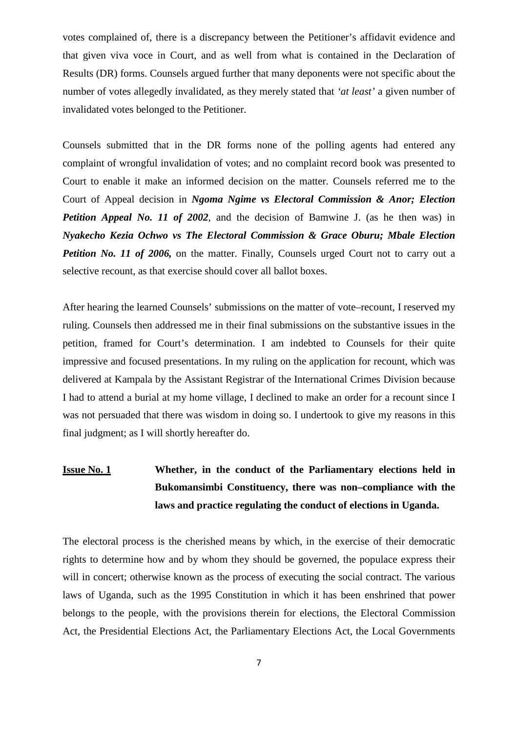votes complained of, there is a discrepancy between the Petitioner's affidavit evidence and that given viva voce in Court, and as well from what is contained in the Declaration of Results (DR) forms. Counsels argued further that many deponents were not specific about the number of votes allegedly invalidated, as they merely stated that *'at least'* a given number of invalidated votes belonged to the Petitioner.

Counsels submitted that in the DR forms none of the polling agents had entered any complaint of wrongful invalidation of votes; and no complaint record book was presented to Court to enable it make an informed decision on the matter. Counsels referred me to the Court of Appeal decision in *Ngoma Ngime vs Electoral Commission & Anor; Election Petition Appeal No. 11 of 2002*, and the decision of Bamwine J. (as he then was) in *Nyakecho Kezia Ochwo vs The Electoral Commission & Grace Oburu; Mbale Election Petition No. 11 of 2006*, on the matter. Finally, Counsels urged Court not to carry out a selective recount, as that exercise should cover all ballot boxes.

After hearing the learned Counsels' submissions on the matter of vote–recount, I reserved my ruling. Counsels then addressed me in their final submissions on the substantive issues in the petition, framed for Court's determination. I am indebted to Counsels for their quite impressive and focused presentations. In my ruling on the application for recount, which was delivered at Kampala by the Assistant Registrar of the International Crimes Division because I had to attend a burial at my home village, I declined to make an order for a recount since I was not persuaded that there was wisdom in doing so. I undertook to give my reasons in this final judgment; as I will shortly hereafter do.

# **Issue No. 1 Whether, in the conduct of the Parliamentary elections held in Bukomansimbi Constituency, there was non–compliance with the laws and practice regulating the conduct of elections in Uganda.**

The electoral process is the cherished means by which, in the exercise of their democratic rights to determine how and by whom they should be governed, the populace express their will in concert; otherwise known as the process of executing the social contract. The various laws of Uganda, such as the 1995 Constitution in which it has been enshrined that power belongs to the people, with the provisions therein for elections, the Electoral Commission Act, the Presidential Elections Act, the Parliamentary Elections Act, the Local Governments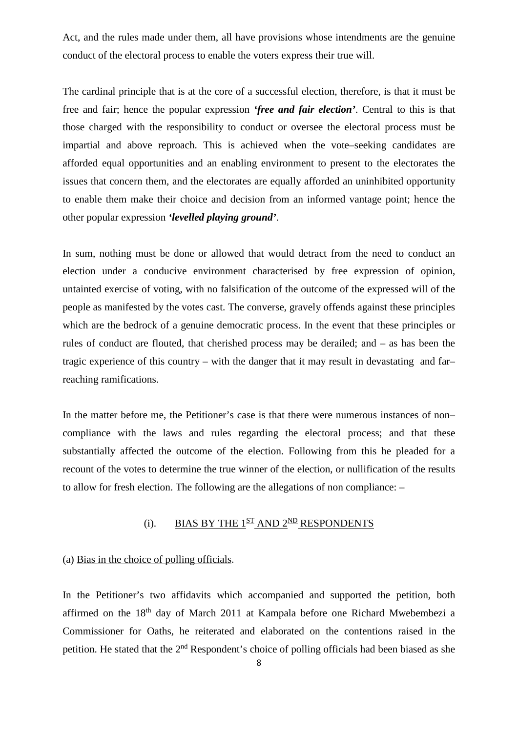Act, and the rules made under them, all have provisions whose intendments are the genuine conduct of the electoral process to enable the voters express their true will.

The cardinal principle that is at the core of a successful election, therefore, is that it must be free and fair; hence the popular expression *'free and fair election'*. Central to this is that those charged with the responsibility to conduct or oversee the electoral process must be impartial and above reproach. This is achieved when the vote–seeking candidates are afforded equal opportunities and an enabling environment to present to the electorates the issues that concern them, and the electorates are equally afforded an uninhibited opportunity to enable them make their choice and decision from an informed vantage point; hence the other popular expression *'levelled playing ground'*.

In sum, nothing must be done or allowed that would detract from the need to conduct an election under a conducive environment characterised by free expression of opinion, untainted exercise of voting, with no falsification of the outcome of the expressed will of the people as manifested by the votes cast. The converse, gravely offends against these principles which are the bedrock of a genuine democratic process. In the event that these principles or rules of conduct are flouted, that cherished process may be derailed; and – as has been the tragic experience of this country – with the danger that it may result in devastating and far– reaching ramifications.

In the matter before me, the Petitioner's case is that there were numerous instances of non– compliance with the laws and rules regarding the electoral process; and that these substantially affected the outcome of the election. Following from this he pleaded for a recount of the votes to determine the true winner of the election, or nullification of the results to allow for fresh election. The following are the allegations of non compliance: –

## (i). BIAS BY THE  $1^{ST}$  AND  $2^{ND}$  RESPONDENTS

### (a) Bias in the choice of polling officials.

In the Petitioner's two affidavits which accompanied and supported the petition, both affirmed on the 18th day of March 2011 at Kampala before one Richard Mwebembezi a Commissioner for Oaths, he reiterated and elaborated on the contentions raised in the petition. He stated that the 2nd Respondent's choice of polling officials had been biased as she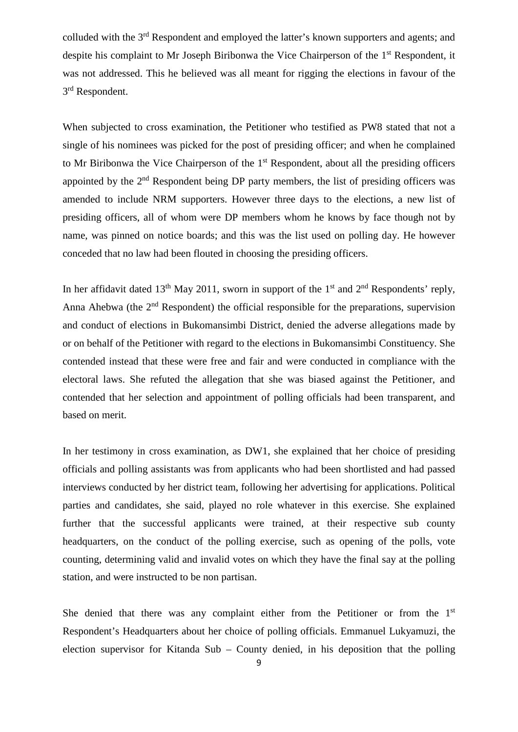colluded with the 3rd Respondent and employed the latter's known supporters and agents; and despite his complaint to Mr Joseph Biribonwa the Vice Chairperson of the 1<sup>st</sup> Respondent, it was not addressed. This he believed was all meant for rigging the elections in favour of the 3rd Respondent.

When subjected to cross examination, the Petitioner who testified as PW8 stated that not a single of his nominees was picked for the post of presiding officer; and when he complained to Mr Biribonwa the Vice Chairperson of the  $1<sup>st</sup>$  Respondent, about all the presiding officers appointed by the 2<sup>nd</sup> Respondent being DP party members, the list of presiding officers was amended to include NRM supporters. However three days to the elections, a new list of presiding officers, all of whom were DP members whom he knows by face though not by name, was pinned on notice boards; and this was the list used on polling day. He however conceded that no law had been flouted in choosing the presiding officers.

In her affidavit dated 13<sup>th</sup> May 2011, sworn in support of the 1<sup>st</sup> and 2<sup>nd</sup> Respondents' reply, Anna Ahebwa (the 2<sup>nd</sup> Respondent) the official responsible for the preparations, supervision and conduct of elections in Bukomansimbi District, denied the adverse allegations made by or on behalf of the Petitioner with regard to the elections in Bukomansimbi Constituency. She contended instead that these were free and fair and were conducted in compliance with the electoral laws. She refuted the allegation that she was biased against the Petitioner, and contended that her selection and appointment of polling officials had been transparent, and based on merit.

In her testimony in cross examination, as DW1, she explained that her choice of presiding officials and polling assistants was from applicants who had been shortlisted and had passed interviews conducted by her district team, following her advertising for applications. Political parties and candidates, she said, played no role whatever in this exercise. She explained further that the successful applicants were trained, at their respective sub county headquarters, on the conduct of the polling exercise, such as opening of the polls, vote counting, determining valid and invalid votes on which they have the final say at the polling station, and were instructed to be non partisan.

She denied that there was any complaint either from the Petitioner or from the 1<sup>st</sup> Respondent's Headquarters about her choice of polling officials. Emmanuel Lukyamuzi, the election supervisor for Kitanda Sub – County denied, in his deposition that the polling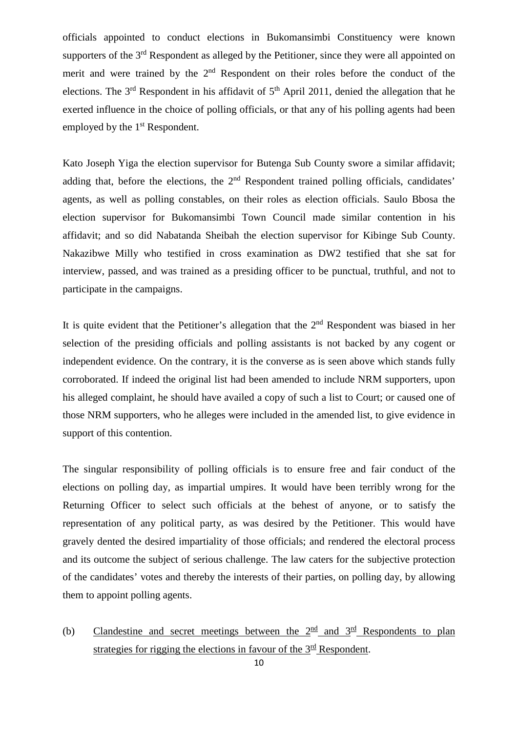officials appointed to conduct elections in Bukomansimbi Constituency were known supporters of the 3<sup>rd</sup> Respondent as alleged by the Petitioner, since they were all appointed on merit and were trained by the  $2<sup>nd</sup>$  Respondent on their roles before the conduct of the elections. The  $3<sup>rd</sup>$  Respondent in his affidavit of  $5<sup>th</sup>$  April 2011, denied the allegation that he exerted influence in the choice of polling officials, or that any of his polling agents had been employed by the 1<sup>st</sup> Respondent.

Kato Joseph Yiga the election supervisor for Butenga Sub County swore a similar affidavit; adding that, before the elections, the 2<sup>nd</sup> Respondent trained polling officials, candidates' agents, as well as polling constables, on their roles as election officials. Saulo Bbosa the election supervisor for Bukomansimbi Town Council made similar contention in his affidavit; and so did Nabatanda Sheibah the election supervisor for Kibinge Sub County. Nakazibwe Milly who testified in cross examination as DW2 testified that she sat for interview, passed, and was trained as a presiding officer to be punctual, truthful, and not to participate in the campaigns.

It is quite evident that the Petitioner's allegation that the  $2<sup>nd</sup>$  Respondent was biased in her selection of the presiding officials and polling assistants is not backed by any cogent or independent evidence. On the contrary, it is the converse as is seen above which stands fully corroborated. If indeed the original list had been amended to include NRM supporters, upon his alleged complaint, he should have availed a copy of such a list to Court; or caused one of those NRM supporters, who he alleges were included in the amended list, to give evidence in support of this contention.

The singular responsibility of polling officials is to ensure free and fair conduct of the elections on polling day, as impartial umpires. It would have been terribly wrong for the Returning Officer to select such officials at the behest of anyone, or to satisfy the representation of any political party, as was desired by the Petitioner. This would have gravely dented the desired impartiality of those officials; and rendered the electoral process and its outcome the subject of serious challenge. The law caters for the subjective protection of the candidates' votes and thereby the interests of their parties, on polling day, by allowing them to appoint polling agents.

(b) Clandestine and secret meetings between the  $2^{\text{nd}}$  and  $3^{\text{rd}}$  Respondents to plan strategies for rigging the elections in favour of the  $3<sup>rd</sup>$  Respondent.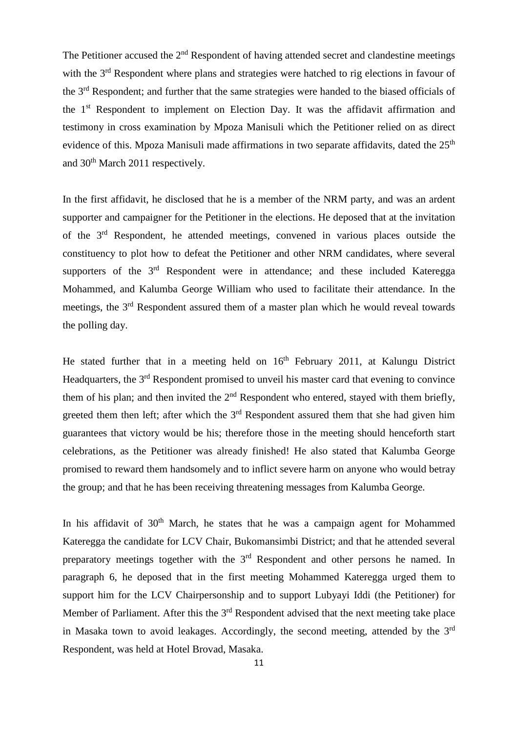The Petitioner accused the  $2<sup>nd</sup>$  Respondent of having attended secret and clandestine meetings with the 3<sup>rd</sup> Respondent where plans and strategies were hatched to rig elections in favour of the 3rd Respondent; and further that the same strategies were handed to the biased officials of the 1<sup>st</sup> Respondent to implement on Election Day. It was the affidavit affirmation and testimony in cross examination by Mpoza Manisuli which the Petitioner relied on as direct evidence of this. Mpoza Manisuli made affirmations in two separate affidavits, dated the 25<sup>th</sup> and 30<sup>th</sup> March 2011 respectively.

In the first affidavit, he disclosed that he is a member of the NRM party, and was an ardent supporter and campaigner for the Petitioner in the elections. He deposed that at the invitation of the 3rd Respondent, he attended meetings, convened in various places outside the constituency to plot how to defeat the Petitioner and other NRM candidates, where several supporters of the  $3<sup>rd</sup>$  Respondent were in attendance; and these included Kateregga Mohammed, and Kalumba George William who used to facilitate their attendance. In the meetings, the 3rd Respondent assured them of a master plan which he would reveal towards the polling day.

He stated further that in a meeting held on 16<sup>th</sup> February 2011, at Kalungu District Headquarters, the 3<sup>rd</sup> Respondent promised to unveil his master card that evening to convince them of his plan; and then invited the  $2<sup>nd</sup>$  Respondent who entered, stayed with them briefly. greeted them then left; after which the  $3<sup>rd</sup>$  Respondent assured them that she had given him guarantees that victory would be his; therefore those in the meeting should henceforth start celebrations, as the Petitioner was already finished! He also stated that Kalumba George promised to reward them handsomely and to inflict severe harm on anyone who would betray the group; and that he has been receiving threatening messages from Kalumba George.

In his affidavit of 30<sup>th</sup> March, he states that he was a campaign agent for Mohammed Kateregga the candidate for LCV Chair, Bukomansimbi District; and that he attended several preparatory meetings together with the 3<sup>rd</sup> Respondent and other persons he named. In paragraph 6, he deposed that in the first meeting Mohammed Kateregga urged them to support him for the LCV Chairpersonship and to support Lubyayi Iddi (the Petitioner) for Member of Parliament. After this the 3<sup>rd</sup> Respondent advised that the next meeting take place in Masaka town to avoid leakages. Accordingly, the second meeting, attended by the  $3<sup>rd</sup>$ Respondent, was held at Hotel Brovad, Masaka.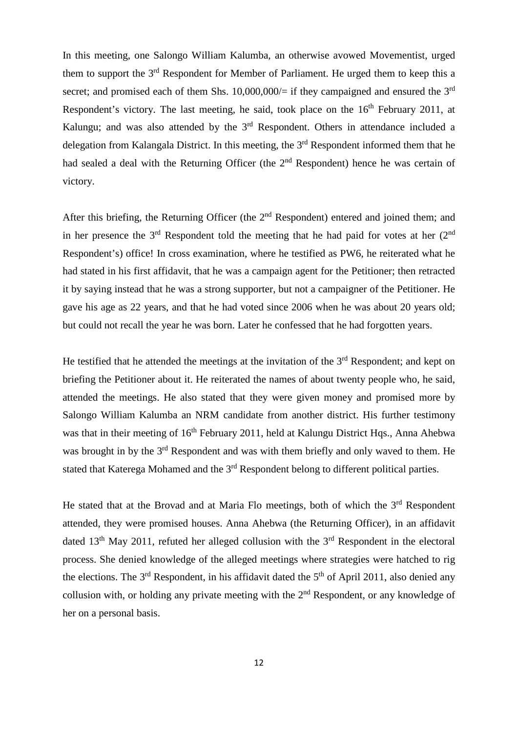In this meeting, one Salongo William Kalumba, an otherwise avowed Movementist, urged them to support the  $3<sup>rd</sup>$  Respondent for Member of Parliament. He urged them to keep this a secret; and promised each of them Shs.  $10,000,000/=$  if they campaigned and ensured the 3<sup>rd</sup> Respondent's victory. The last meeting, he said, took place on the  $16<sup>th</sup>$  February 2011, at Kalungu; and was also attended by the 3<sup>rd</sup> Respondent. Others in attendance included a delegation from Kalangala District. In this meeting, the  $3<sup>rd</sup>$  Respondent informed them that he had sealed a deal with the Returning Officer (the  $2<sup>nd</sup>$  Respondent) hence he was certain of victory.

After this briefing, the Returning Officer (the 2<sup>nd</sup> Respondent) entered and joined them; and in her presence the  $3<sup>rd</sup>$  Respondent told the meeting that he had paid for votes at her  $(2<sup>nd</sup>$ Respondent's) office! In cross examination, where he testified as PW6, he reiterated what he had stated in his first affidavit, that he was a campaign agent for the Petitioner; then retracted it by saying instead that he was a strong supporter, but not a campaigner of the Petitioner. He gave his age as 22 years, and that he had voted since 2006 when he was about 20 years old; but could not recall the year he was born. Later he confessed that he had forgotten years.

He testified that he attended the meetings at the invitation of the  $3<sup>rd</sup>$  Respondent; and kept on briefing the Petitioner about it. He reiterated the names of about twenty people who, he said, attended the meetings. He also stated that they were given money and promised more by Salongo William Kalumba an NRM candidate from another district. His further testimony was that in their meeting of 16<sup>th</sup> February 2011, held at Kalungu District Hqs., Anna Ahebwa was brought in by the 3<sup>rd</sup> Respondent and was with them briefly and only waved to them. He stated that Katerega Mohamed and the 3<sup>rd</sup> Respondent belong to different political parties.

He stated that at the Brovad and at Maria Flo meetings, both of which the 3<sup>rd</sup> Respondent attended, they were promised houses. Anna Ahebwa (the Returning Officer), in an affidavit dated  $13<sup>th</sup>$  May 2011, refuted her alleged collusion with the  $3<sup>rd</sup>$  Respondent in the electoral process. She denied knowledge of the alleged meetings where strategies were hatched to rig the elections. The  $3<sup>rd</sup>$  Respondent, in his affidavit dated the  $5<sup>th</sup>$  of April 2011, also denied any collusion with, or holding any private meeting with the  $2<sup>nd</sup>$  Respondent, or any knowledge of her on a personal basis.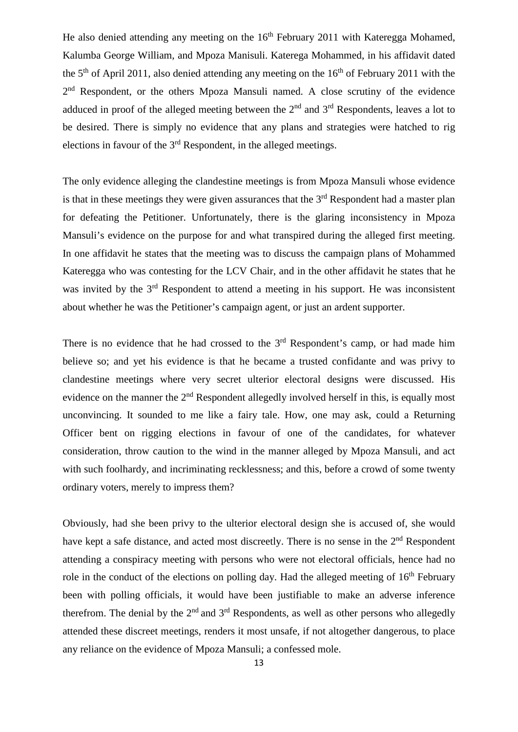He also denied attending any meeting on the  $16<sup>th</sup>$  February 2011 with Kateregga Mohamed, Kalumba George William, and Mpoza Manisuli. Katerega Mohammed, in his affidavit dated the  $5<sup>th</sup>$  of April 2011, also denied attending any meeting on the  $16<sup>th</sup>$  of February 2011 with the 2<sup>nd</sup> Respondent, or the others Mpoza Mansuli named. A close scrutiny of the evidence adduced in proof of the alleged meeting between the  $2<sup>nd</sup>$  and  $3<sup>rd</sup>$  Respondents, leaves a lot to be desired. There is simply no evidence that any plans and strategies were hatched to rig elections in favour of the  $3<sup>rd</sup>$  Respondent, in the alleged meetings.

The only evidence alleging the clandestine meetings is from Mpoza Mansuli whose evidence is that in these meetings they were given assurances that the  $3<sup>rd</sup>$  Respondent had a master plan for defeating the Petitioner. Unfortunately, there is the glaring inconsistency in Mpoza Mansuli's evidence on the purpose for and what transpired during the alleged first meeting. In one affidavit he states that the meeting was to discuss the campaign plans of Mohammed Kateregga who was contesting for the LCV Chair, and in the other affidavit he states that he was invited by the 3<sup>rd</sup> Respondent to attend a meeting in his support. He was inconsistent about whether he was the Petitioner's campaign agent, or just an ardent supporter.

There is no evidence that he had crossed to the  $3<sup>rd</sup>$  Respondent's camp, or had made him believe so; and yet his evidence is that he became a trusted confidante and was privy to clandestine meetings where very secret ulterior electoral designs were discussed. His evidence on the manner the 2<sup>nd</sup> Respondent allegedly involved herself in this, is equally most unconvincing. It sounded to me like a fairy tale. How, one may ask, could a Returning Officer bent on rigging elections in favour of one of the candidates, for whatever consideration, throw caution to the wind in the manner alleged by Mpoza Mansuli, and act with such foolhardy, and incriminating recklessness; and this, before a crowd of some twenty ordinary voters, merely to impress them?

Obviously, had she been privy to the ulterior electoral design she is accused of, she would have kept a safe distance, and acted most discreetly. There is no sense in the 2<sup>nd</sup> Respondent attending a conspiracy meeting with persons who were not electoral officials, hence had no role in the conduct of the elections on polling day. Had the alleged meeting of  $16<sup>th</sup>$  February been with polling officials, it would have been justifiable to make an adverse inference therefrom. The denial by the  $2<sup>nd</sup>$  and  $3<sup>rd</sup>$  Respondents, as well as other persons who allegedly attended these discreet meetings, renders it most unsafe, if not altogether dangerous, to place any reliance on the evidence of Mpoza Mansuli; a confessed mole.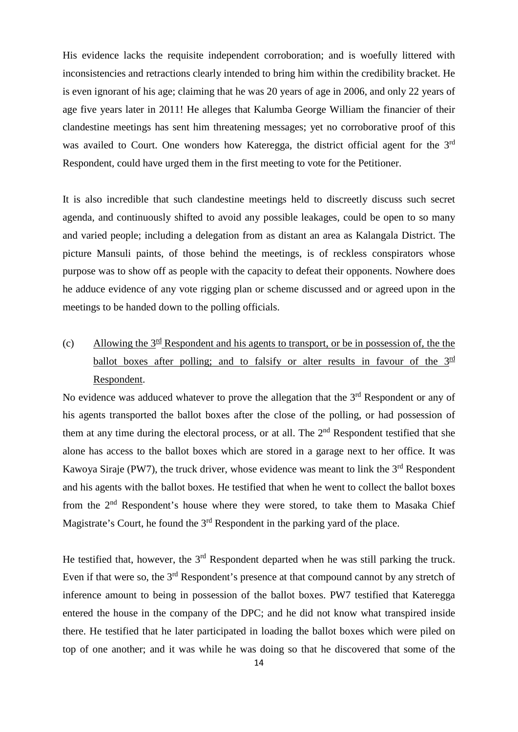His evidence lacks the requisite independent corroboration; and is woefully littered with inconsistencies and retractions clearly intended to bring him within the credibility bracket. He is even ignorant of his age; claiming that he was 20 years of age in 2006, and only 22 years of age five years later in 2011! He alleges that Kalumba George William the financier of their clandestine meetings has sent him threatening messages; yet no corroborative proof of this was availed to Court. One wonders how Kateregga, the district official agent for the 3<sup>rd</sup> Respondent, could have urged them in the first meeting to vote for the Petitioner.

It is also incredible that such clandestine meetings held to discreetly discuss such secret agenda, and continuously shifted to avoid any possible leakages, could be open to so many and varied people; including a delegation from as distant an area as Kalangala District. The picture Mansuli paints, of those behind the meetings, is of reckless conspirators whose purpose was to show off as people with the capacity to defeat their opponents. Nowhere does he adduce evidence of any vote rigging plan or scheme discussed and or agreed upon in the meetings to be handed down to the polling officials.

(c) Allowing the  $3<sup>rd</sup>$  Respondent and his agents to transport, or be in possession of, the the ballot boxes after polling; and to falsify or alter results in favour of the  $3^{\text{rd}}$ Respondent.

No evidence was adduced whatever to prove the allegation that the  $3<sup>rd</sup>$  Respondent or any of his agents transported the ballot boxes after the close of the polling, or had possession of them at any time during the electoral process, or at all. The  $2<sup>nd</sup>$  Respondent testified that she alone has access to the ballot boxes which are stored in a garage next to her office. It was Kawoya Siraje (PW7), the truck driver, whose evidence was meant to link the  $3<sup>rd</sup>$  Respondent and his agents with the ballot boxes. He testified that when he went to collect the ballot boxes from the 2nd Respondent's house where they were stored, to take them to Masaka Chief Magistrate's Court, he found the  $3<sup>rd</sup>$  Respondent in the parking yard of the place.

He testified that, however, the  $3<sup>rd</sup>$  Respondent departed when he was still parking the truck. Even if that were so, the 3<sup>rd</sup> Respondent's presence at that compound cannot by any stretch of inference amount to being in possession of the ballot boxes. PW7 testified that Kateregga entered the house in the company of the DPC; and he did not know what transpired inside there. He testified that he later participated in loading the ballot boxes which were piled on top of one another; and it was while he was doing so that he discovered that some of the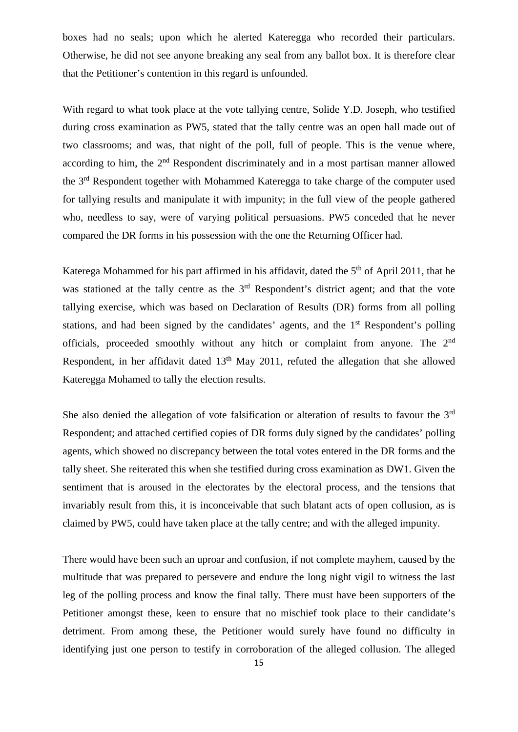boxes had no seals; upon which he alerted Kateregga who recorded their particulars. Otherwise, he did not see anyone breaking any seal from any ballot box. It is therefore clear that the Petitioner's contention in this regard is unfounded.

With regard to what took place at the vote tallying centre, Solide Y.D. Joseph, who testified during cross examination as PW5, stated that the tally centre was an open hall made out of two classrooms; and was, that night of the poll, full of people. This is the venue where, according to him, the  $2<sup>nd</sup>$  Respondent discriminately and in a most partisan manner allowed the 3rd Respondent together with Mohammed Kateregga to take charge of the computer used for tallying results and manipulate it with impunity; in the full view of the people gathered who, needless to say, were of varying political persuasions. PW5 conceded that he never compared the DR forms in his possession with the one the Returning Officer had.

Katerega Mohammed for his part affirmed in his affidavit, dated the  $5<sup>th</sup>$  of April 2011, that he was stationed at the tally centre as the 3<sup>rd</sup> Respondent's district agent; and that the vote tallying exercise, which was based on Declaration of Results (DR) forms from all polling stations, and had been signed by the candidates' agents, and the 1<sup>st</sup> Respondent's polling officials, proceeded smoothly without any hitch or complaint from anyone. The 2nd Respondent, in her affidavit dated 13<sup>th</sup> May 2011, refuted the allegation that she allowed Kateregga Mohamed to tally the election results.

She also denied the allegation of vote falsification or alteration of results to favour the 3<sup>rd</sup> Respondent; and attached certified copies of DR forms duly signed by the candidates' polling agents, which showed no discrepancy between the total votes entered in the DR forms and the tally sheet. She reiterated this when she testified during cross examination as DW1. Given the sentiment that is aroused in the electorates by the electoral process, and the tensions that invariably result from this, it is inconceivable that such blatant acts of open collusion, as is claimed by PW5, could have taken place at the tally centre; and with the alleged impunity.

There would have been such an uproar and confusion, if not complete mayhem, caused by the multitude that was prepared to persevere and endure the long night vigil to witness the last leg of the polling process and know the final tally. There must have been supporters of the Petitioner amongst these, keen to ensure that no mischief took place to their candidate's detriment. From among these, the Petitioner would surely have found no difficulty in identifying just one person to testify in corroboration of the alleged collusion. The alleged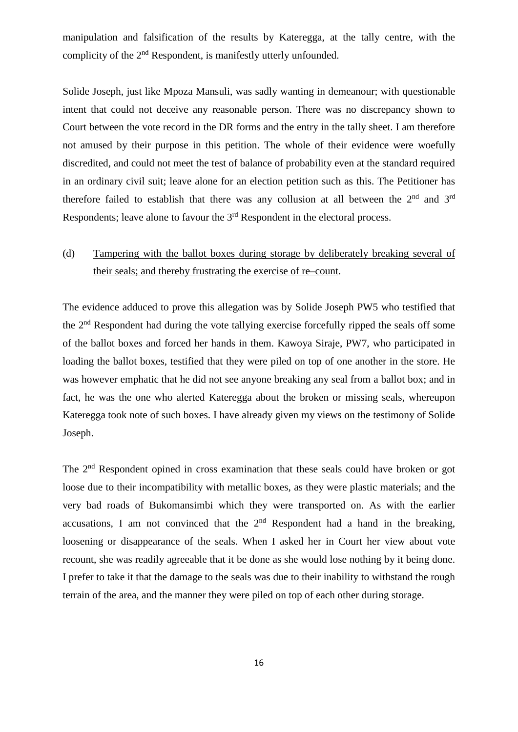manipulation and falsification of the results by Kateregga, at the tally centre, with the complicity of the 2<sup>nd</sup> Respondent, is manifestly utterly unfounded.

Solide Joseph, just like Mpoza Mansuli, was sadly wanting in demeanour; with questionable intent that could not deceive any reasonable person. There was no discrepancy shown to Court between the vote record in the DR forms and the entry in the tally sheet. I am therefore not amused by their purpose in this petition. The whole of their evidence were woefully discredited, and could not meet the test of balance of probability even at the standard required in an ordinary civil suit; leave alone for an election petition such as this. The Petitioner has therefore failed to establish that there was any collusion at all between the 2<sup>nd</sup> and 3<sup>rd</sup> Respondents; leave alone to favour the 3rd Respondent in the electoral process.

## (d) Tampering with the ballot boxes during storage by deliberately breaking several of their seals; and thereby frustrating the exercise of re–count.

The evidence adduced to prove this allegation was by Solide Joseph PW5 who testified that the 2nd Respondent had during the vote tallying exercise forcefully ripped the seals off some of the ballot boxes and forced her hands in them. Kawoya Siraje, PW7, who participated in loading the ballot boxes, testified that they were piled on top of one another in the store. He was however emphatic that he did not see anyone breaking any seal from a ballot box; and in fact, he was the one who alerted Kateregga about the broken or missing seals, whereupon Kateregga took note of such boxes. I have already given my views on the testimony of Solide Joseph.

The 2<sup>nd</sup> Respondent opined in cross examination that these seals could have broken or got loose due to their incompatibility with metallic boxes, as they were plastic materials; and the very bad roads of Bukomansimbi which they were transported on. As with the earlier accusations, I am not convinced that the  $2<sup>nd</sup>$  Respondent had a hand in the breaking, loosening or disappearance of the seals. When I asked her in Court her view about vote recount, she was readily agreeable that it be done as she would lose nothing by it being done. I prefer to take it that the damage to the seals was due to their inability to withstand the rough terrain of the area, and the manner they were piled on top of each other during storage.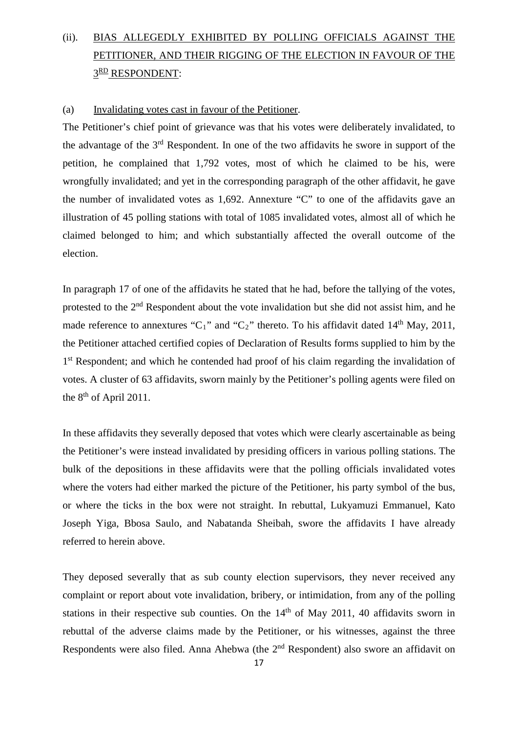# (ii). BIAS ALLEGEDLY EXHIBITED BY POLLING OFFICIALS AGAINST THE PETITIONER, AND THEIR RIGGING OF THE ELECTION IN FAVOUR OF THE 3RD RESPONDENT:

### (a) Invalidating votes cast in favour of the Petitioner.

The Petitioner's chief point of grievance was that his votes were deliberately invalidated, to the advantage of the  $3<sup>rd</sup>$  Respondent. In one of the two affidavits he swore in support of the petition, he complained that 1,792 votes, most of which he claimed to be his, were wrongfully invalidated; and yet in the corresponding paragraph of the other affidavit, he gave the number of invalidated votes as 1,692. Annexture "C" to one of the affidavits gave an illustration of 45 polling stations with total of 1085 invalidated votes, almost all of which he claimed belonged to him; and which substantially affected the overall outcome of the election.

In paragraph 17 of one of the affidavits he stated that he had, before the tallying of the votes, protested to the  $2<sup>nd</sup>$  Respondent about the vote invalidation but she did not assist him, and he made reference to annextures "C<sub>1</sub>" and "C<sub>2</sub>" thereto. To his affidavit dated 14<sup>th</sup> May, 2011, the Petitioner attached certified copies of Declaration of Results forms supplied to him by the 1<sup>st</sup> Respondent; and which he contended had proof of his claim regarding the invalidation of votes. A cluster of 63 affidavits, sworn mainly by the Petitioner's polling agents were filed on the  $8<sup>th</sup>$  of April 2011.

In these affidavits they severally deposed that votes which were clearly ascertainable as being the Petitioner's were instead invalidated by presiding officers in various polling stations. The bulk of the depositions in these affidavits were that the polling officials invalidated votes where the voters had either marked the picture of the Petitioner, his party symbol of the bus, or where the ticks in the box were not straight. In rebuttal, Lukyamuzi Emmanuel, Kato Joseph Yiga, Bbosa Saulo, and Nabatanda Sheibah, swore the affidavits I have already referred to herein above.

They deposed severally that as sub county election supervisors, they never received any complaint or report about vote invalidation, bribery, or intimidation, from any of the polling stations in their respective sub counties. On the  $14<sup>th</sup>$  of May 2011, 40 affidavits sworn in rebuttal of the adverse claims made by the Petitioner, or his witnesses, against the three Respondents were also filed. Anna Ahebwa (the 2<sup>nd</sup> Respondent) also swore an affidavit on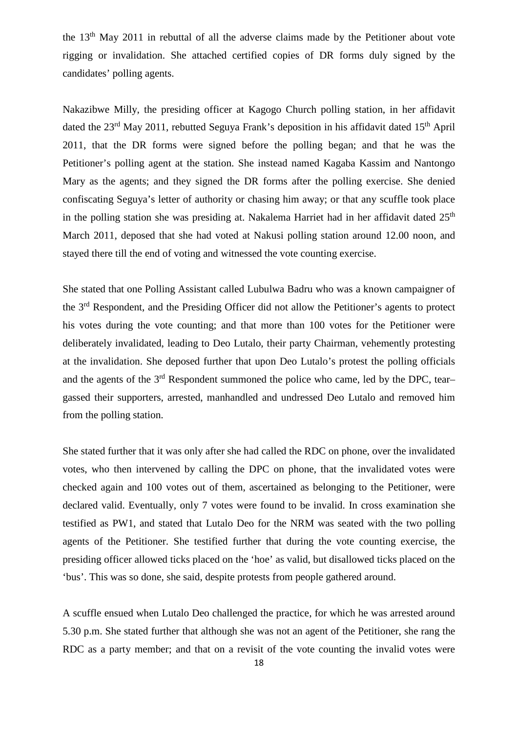the 13th May 2011 in rebuttal of all the adverse claims made by the Petitioner about vote rigging or invalidation. She attached certified copies of DR forms duly signed by the candidates' polling agents.

Nakazibwe Milly, the presiding officer at Kagogo Church polling station, in her affidavit dated the  $23<sup>rd</sup>$  May 2011, rebutted Seguya Frank's deposition in his affidavit dated  $15<sup>th</sup>$  April 2011, that the DR forms were signed before the polling began; and that he was the Petitioner's polling agent at the station. She instead named Kagaba Kassim and Nantongo Mary as the agents; and they signed the DR forms after the polling exercise. She denied confiscating Seguya's letter of authority or chasing him away; or that any scuffle took place in the polling station she was presiding at. Nakalema Harriet had in her affidavit dated  $25<sup>th</sup>$ March 2011, deposed that she had voted at Nakusi polling station around 12.00 noon, and stayed there till the end of voting and witnessed the vote counting exercise.

She stated that one Polling Assistant called Lubulwa Badru who was a known campaigner of the 3rd Respondent, and the Presiding Officer did not allow the Petitioner's agents to protect his votes during the vote counting; and that more than 100 votes for the Petitioner were deliberately invalidated, leading to Deo Lutalo, their party Chairman, vehemently protesting at the invalidation. She deposed further that upon Deo Lutalo's protest the polling officials and the agents of the 3<sup>rd</sup> Respondent summoned the police who came, led by the DPC, teargassed their supporters, arrested, manhandled and undressed Deo Lutalo and removed him from the polling station.

She stated further that it was only after she had called the RDC on phone, over the invalidated votes, who then intervened by calling the DPC on phone, that the invalidated votes were checked again and 100 votes out of them, ascertained as belonging to the Petitioner, were declared valid. Eventually, only 7 votes were found to be invalid. In cross examination she testified as PW1, and stated that Lutalo Deo for the NRM was seated with the two polling agents of the Petitioner. She testified further that during the vote counting exercise, the presiding officer allowed ticks placed on the 'hoe' as valid, but disallowed ticks placed on the 'bus'. This was so done, she said, despite protests from people gathered around.

A scuffle ensued when Lutalo Deo challenged the practice, for which he was arrested around 5.30 p.m. She stated further that although she was not an agent of the Petitioner, she rang the RDC as a party member; and that on a revisit of the vote counting the invalid votes were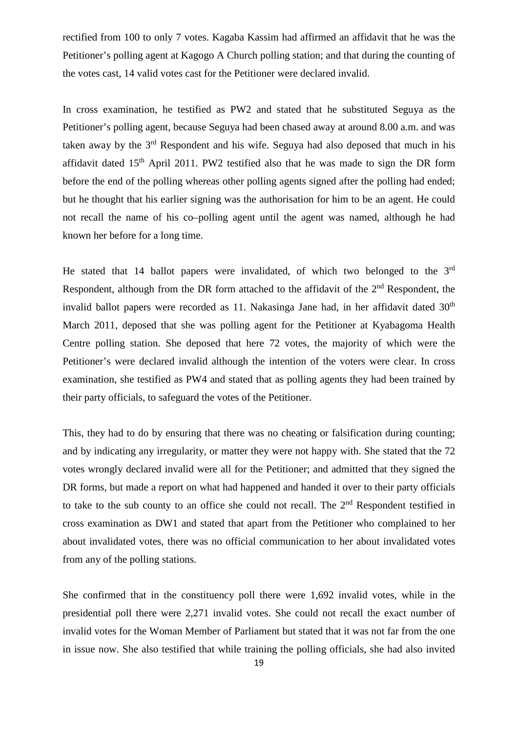rectified from 100 to only 7 votes. Kagaba Kassim had affirmed an affidavit that he was the Petitioner's polling agent at Kagogo A Church polling station; and that during the counting of the votes cast, 14 valid votes cast for the Petitioner were declared invalid.

In cross examination, he testified as PW2 and stated that he substituted Seguya as the Petitioner's polling agent, because Seguya had been chased away at around 8.00 a.m. and was taken away by the  $3<sup>rd</sup>$  Respondent and his wife. Seguya had also deposed that much in his affidavit dated  $15<sup>th</sup>$  April 2011. PW2 testified also that he was made to sign the DR form before the end of the polling whereas other polling agents signed after the polling had ended; but he thought that his earlier signing was the authorisation for him to be an agent. He could not recall the name of his co–polling agent until the agent was named, although he had known her before for a long time.

He stated that 14 ballot papers were invalidated, of which two belonged to the 3<sup>rd</sup> Respondent, although from the DR form attached to the affidavit of the  $2<sup>nd</sup>$  Respondent, the invalid ballot papers were recorded as 11. Nakasinga Jane had, in her affidavit dated  $30<sup>th</sup>$ March 2011, deposed that she was polling agent for the Petitioner at Kyabagoma Health Centre polling station. She deposed that here 72 votes, the majority of which were the Petitioner's were declared invalid although the intention of the voters were clear. In cross examination, she testified as PW4 and stated that as polling agents they had been trained by their party officials, to safeguard the votes of the Petitioner.

This, they had to do by ensuring that there was no cheating or falsification during counting; and by indicating any irregularity, or matter they were not happy with. She stated that the 72 votes wrongly declared invalid were all for the Petitioner; and admitted that they signed the DR forms, but made a report on what had happened and handed it over to their party officials to take to the sub county to an office she could not recall. The  $2<sup>nd</sup>$  Respondent testified in cross examination as DW1 and stated that apart from the Petitioner who complained to her about invalidated votes, there was no official communication to her about invalidated votes from any of the polling stations.

She confirmed that in the constituency poll there were 1,692 invalid votes, while in the presidential poll there were 2,271 invalid votes. She could not recall the exact number of invalid votes for the Woman Member of Parliament but stated that it was not far from the one in issue now. She also testified that while training the polling officials, she had also invited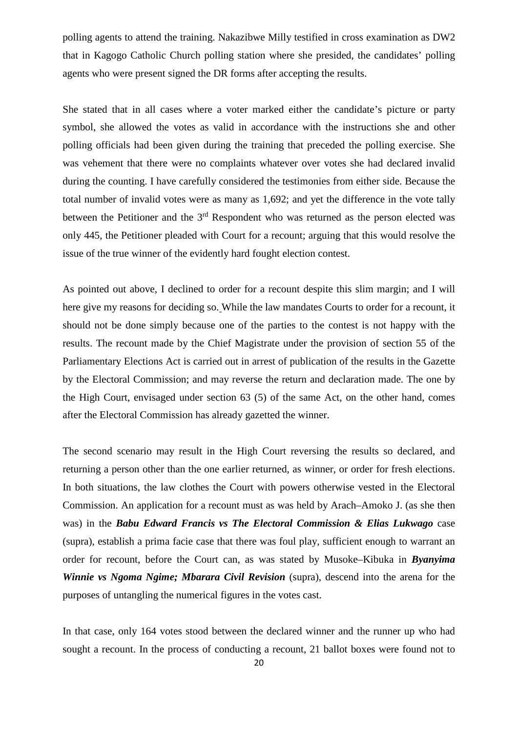polling agents to attend the training. Nakazibwe Milly testified in cross examination as DW2 that in Kagogo Catholic Church polling station where she presided, the candidates' polling agents who were present signed the DR forms after accepting the results.

She stated that in all cases where a voter marked either the candidate's picture or party symbol, she allowed the votes as valid in accordance with the instructions she and other polling officials had been given during the training that preceded the polling exercise. She was vehement that there were no complaints whatever over votes she had declared invalid during the counting. I have carefully considered the testimonies from either side. Because the total number of invalid votes were as many as 1,692; and yet the difference in the vote tally between the Petitioner and the  $3<sup>rd</sup>$  Respondent who was returned as the person elected was only 445, the Petitioner pleaded with Court for a recount; arguing that this would resolve the issue of the true winner of the evidently hard fought election contest.

As pointed out above, I declined to order for a recount despite this slim margin; and I will here give my reasons for deciding so. While the law mandates Courts to order for a recount, it should not be done simply because one of the parties to the contest is not happy with the results. The recount made by the Chief Magistrate under the provision of section 55 of the Parliamentary Elections Act is carried out in arrest of publication of the results in the Gazette by the Electoral Commission; and may reverse the return and declaration made. The one by the High Court, envisaged under section 63 (5) of the same Act, on the other hand, comes after the Electoral Commission has already gazetted the winner.

The second scenario may result in the High Court reversing the results so declared, and returning a person other than the one earlier returned, as winner, or order for fresh elections. In both situations, the law clothes the Court with powers otherwise vested in the Electoral Commission. An application for a recount must as was held by Arach–Amoko J. (as she then was) in the *Babu Edward Francis vs The Electoral Commission & Elias Lukwago* case (supra), establish a prima facie case that there was foul play, sufficient enough to warrant an order for recount, before the Court can, as was stated by Musoke–Kibuka in *Byanyima Winnie vs Ngoma Ngime; Mbarara Civil Revision* (supra), descend into the arena for the purposes of untangling the numerical figures in the votes cast.

In that case, only 164 votes stood between the declared winner and the runner up who had sought a recount. In the process of conducting a recount, 21 ballot boxes were found not to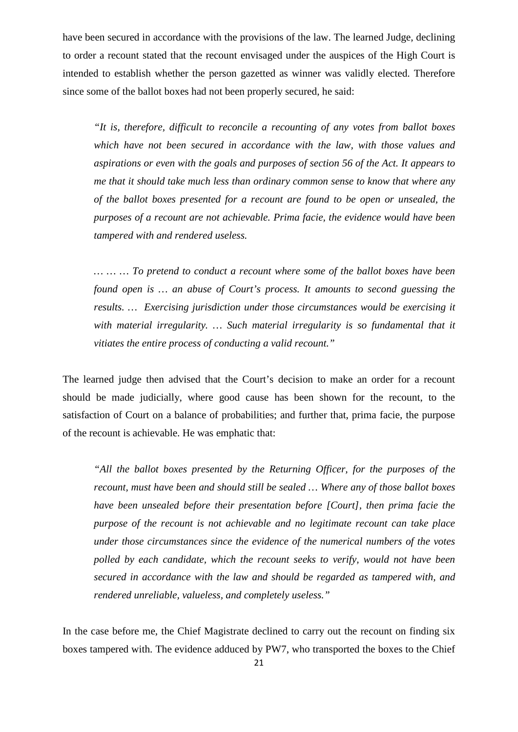have been secured in accordance with the provisions of the law. The learned Judge, declining to order a recount stated that the recount envisaged under the auspices of the High Court is intended to establish whether the person gazetted as winner was validly elected. Therefore since some of the ballot boxes had not been properly secured, he said:

*"It is, therefore, difficult to reconcile a recounting of any votes from ballot boxes which have not been secured in accordance with the law, with those values and aspirations or even with the goals and purposes of section 56 of the Act. It appears to me that it should take much less than ordinary common sense to know that where any of the ballot boxes presented for a recount are found to be open or unsealed, the purposes of a recount are not achievable. Prima facie, the evidence would have been tampered with and rendered useless.* 

*… … … To pretend to conduct a recount where some of the ballot boxes have been found open is … an abuse of Court's process. It amounts to second guessing the results. … Exercising jurisdiction under those circumstances would be exercising it*  with material irregularity. ... Such material irregularity is so fundamental that it *vitiates the entire process of conducting a valid recount."*

The learned judge then advised that the Court's decision to make an order for a recount should be made judicially, where good cause has been shown for the recount, to the satisfaction of Court on a balance of probabilities; and further that, prima facie, the purpose of the recount is achievable. He was emphatic that:

*"All the ballot boxes presented by the Returning Officer, for the purposes of the recount, must have been and should still be sealed … Where any of those ballot boxes have been unsealed before their presentation before [Court], then prima facie the purpose of the recount is not achievable and no legitimate recount can take place under those circumstances since the evidence of the numerical numbers of the votes polled by each candidate, which the recount seeks to verify, would not have been secured in accordance with the law and should be regarded as tampered with, and rendered unreliable, valueless, and completely useless."* 

In the case before me, the Chief Magistrate declined to carry out the recount on finding six boxes tampered with. The evidence adduced by PW7, who transported the boxes to the Chief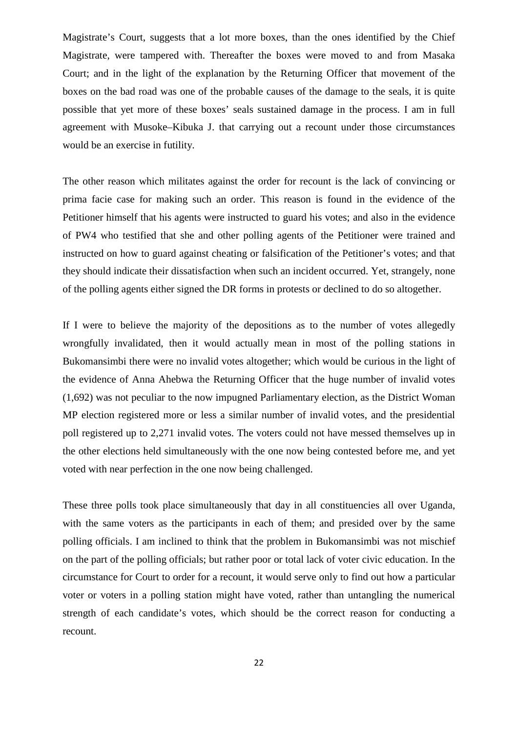Magistrate's Court, suggests that a lot more boxes, than the ones identified by the Chief Magistrate, were tampered with. Thereafter the boxes were moved to and from Masaka Court; and in the light of the explanation by the Returning Officer that movement of the boxes on the bad road was one of the probable causes of the damage to the seals, it is quite possible that yet more of these boxes' seals sustained damage in the process. I am in full agreement with Musoke–Kibuka J. that carrying out a recount under those circumstances would be an exercise in futility.

The other reason which militates against the order for recount is the lack of convincing or prima facie case for making such an order. This reason is found in the evidence of the Petitioner himself that his agents were instructed to guard his votes; and also in the evidence of PW4 who testified that she and other polling agents of the Petitioner were trained and instructed on how to guard against cheating or falsification of the Petitioner's votes; and that they should indicate their dissatisfaction when such an incident occurred. Yet, strangely, none of the polling agents either signed the DR forms in protests or declined to do so altogether.

If I were to believe the majority of the depositions as to the number of votes allegedly wrongfully invalidated, then it would actually mean in most of the polling stations in Bukomansimbi there were no invalid votes altogether; which would be curious in the light of the evidence of Anna Ahebwa the Returning Officer that the huge number of invalid votes (1,692) was not peculiar to the now impugned Parliamentary election, as the District Woman MP election registered more or less a similar number of invalid votes, and the presidential poll registered up to 2,271 invalid votes. The voters could not have messed themselves up in the other elections held simultaneously with the one now being contested before me, and yet voted with near perfection in the one now being challenged.

These three polls took place simultaneously that day in all constituencies all over Uganda, with the same voters as the participants in each of them; and presided over by the same polling officials. I am inclined to think that the problem in Bukomansimbi was not mischief on the part of the polling officials; but rather poor or total lack of voter civic education. In the circumstance for Court to order for a recount, it would serve only to find out how a particular voter or voters in a polling station might have voted, rather than untangling the numerical strength of each candidate's votes, which should be the correct reason for conducting a recount.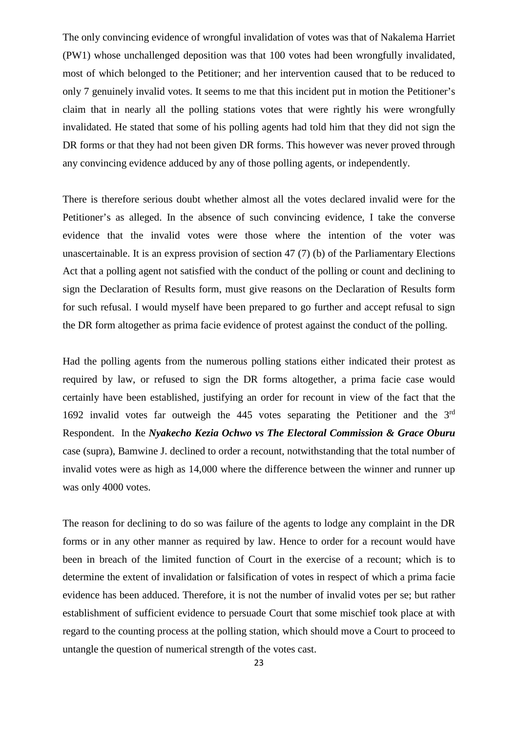The only convincing evidence of wrongful invalidation of votes was that of Nakalema Harriet (PW1) whose unchallenged deposition was that 100 votes had been wrongfully invalidated, most of which belonged to the Petitioner; and her intervention caused that to be reduced to only 7 genuinely invalid votes. It seems to me that this incident put in motion the Petitioner's claim that in nearly all the polling stations votes that were rightly his were wrongfully invalidated. He stated that some of his polling agents had told him that they did not sign the DR forms or that they had not been given DR forms. This however was never proved through any convincing evidence adduced by any of those polling agents, or independently.

There is therefore serious doubt whether almost all the votes declared invalid were for the Petitioner's as alleged. In the absence of such convincing evidence, I take the converse evidence that the invalid votes were those where the intention of the voter was unascertainable. It is an express provision of section 47 (7) (b) of the Parliamentary Elections Act that a polling agent not satisfied with the conduct of the polling or count and declining to sign the Declaration of Results form, must give reasons on the Declaration of Results form for such refusal. I would myself have been prepared to go further and accept refusal to sign the DR form altogether as prima facie evidence of protest against the conduct of the polling.

Had the polling agents from the numerous polling stations either indicated their protest as required by law, or refused to sign the DR forms altogether, a prima facie case would certainly have been established, justifying an order for recount in view of the fact that the 1692 invalid votes far outweigh the 445 votes separating the Petitioner and the 3rd Respondent. In the *Nyakecho Kezia Ochwo vs The Electoral Commission & Grace Oburu* case (supra), Bamwine J. declined to order a recount, notwithstanding that the total number of invalid votes were as high as 14,000 where the difference between the winner and runner up was only 4000 votes.

The reason for declining to do so was failure of the agents to lodge any complaint in the DR forms or in any other manner as required by law. Hence to order for a recount would have been in breach of the limited function of Court in the exercise of a recount; which is to determine the extent of invalidation or falsification of votes in respect of which a prima facie evidence has been adduced. Therefore, it is not the number of invalid votes per se; but rather establishment of sufficient evidence to persuade Court that some mischief took place at with regard to the counting process at the polling station, which should move a Court to proceed to untangle the question of numerical strength of the votes cast.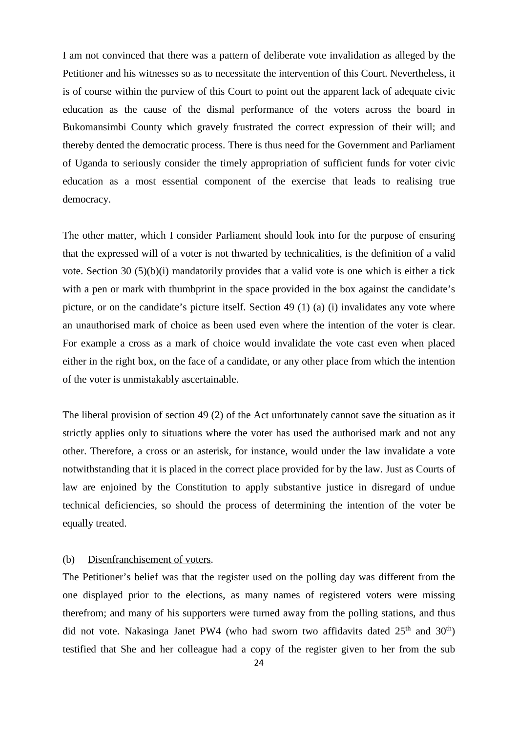I am not convinced that there was a pattern of deliberate vote invalidation as alleged by the Petitioner and his witnesses so as to necessitate the intervention of this Court. Nevertheless, it is of course within the purview of this Court to point out the apparent lack of adequate civic education as the cause of the dismal performance of the voters across the board in Bukomansimbi County which gravely frustrated the correct expression of their will; and thereby dented the democratic process. There is thus need for the Government and Parliament of Uganda to seriously consider the timely appropriation of sufficient funds for voter civic education as a most essential component of the exercise that leads to realising true democracy.

The other matter, which I consider Parliament should look into for the purpose of ensuring that the expressed will of a voter is not thwarted by technicalities, is the definition of a valid vote. Section 30 (5)(b)(i) mandatorily provides that a valid vote is one which is either a tick with a pen or mark with thumbprint in the space provided in the box against the candidate's picture, or on the candidate's picture itself. Section 49 (1) (a) (i) invalidates any vote where an unauthorised mark of choice as been used even where the intention of the voter is clear. For example a cross as a mark of choice would invalidate the vote cast even when placed either in the right box, on the face of a candidate, or any other place from which the intention of the voter is unmistakably ascertainable.

The liberal provision of section 49 (2) of the Act unfortunately cannot save the situation as it strictly applies only to situations where the voter has used the authorised mark and not any other. Therefore, a cross or an asterisk, for instance, would under the law invalidate a vote notwithstanding that it is placed in the correct place provided for by the law. Just as Courts of law are enjoined by the Constitution to apply substantive justice in disregard of undue technical deficiencies, so should the process of determining the intention of the voter be equally treated.

### (b)Disenfranchisement of voters.

The Petitioner's belief was that the register used on the polling day was different from the one displayed prior to the elections, as many names of registered voters were missing therefrom; and many of his supporters were turned away from the polling stations, and thus did not vote. Nakasinga Janet PW4 (who had sworn two affidavits dated  $25<sup>th</sup>$  and  $30<sup>th</sup>$ ) testified that She and her colleague had a copy of the register given to her from the sub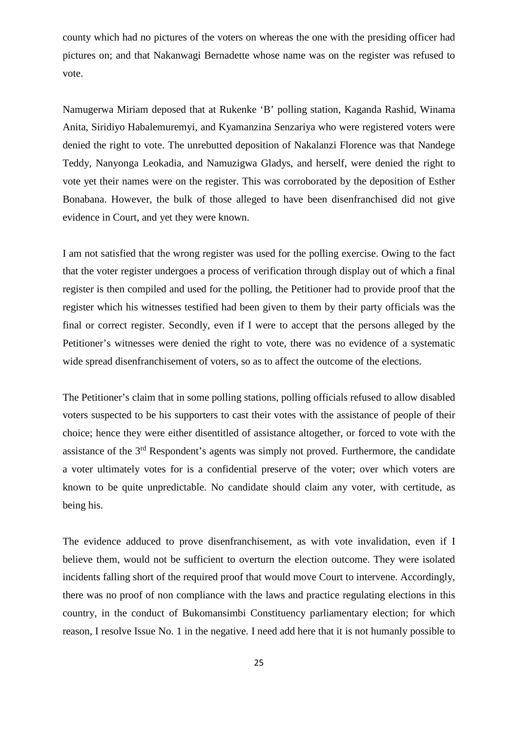county which had no pictures of the voters on whereas the one with the presiding officer had pictures on; and that Nakanwagi Bernadette whose name was on the register was refused to vote.

Namugerwa Miriam deposed that at Rukenke 'B' polling station, Kaganda Rashid, Winama Anita, Siridiyo Habalemuremyi, and Kyamanzina Senzariya who were registered voters were denied the right to vote. The unrebutted deposition of Nakalanzi Florence was that Nandege Teddy, Nanyonga Leokadia, and Namuzigwa Gladys, and herself, were denied the right to vote yet their names were on the register. This was corroborated by the deposition of Esther Bonabana. However, the bulk of those alleged to have been disenfranchised did not give evidence in Court, and yet they were known.

I am not satisfied that the wrong register was used for the polling exercise. Owing to the fact that the voter register undergoes a process of verification through display out of which a final register is then compiled and used for the polling, the Petitioner had to provide proof that the register which his witnesses testified had been given to them by their party officials was the final or correct register. Secondly, even if I were to accept that the persons alleged by the Petitioner's witnesses were denied the right to vote, there was no evidence of a systematic wide spread disenfranchisement of voters, so as to affect the outcome of the elections.

The Petitioner's claim that in some polling stations, polling officials refused to allow disabled voters suspected to be his supporters to cast their votes with the assistance of people of their choice; hence they were either disentitled of assistance altogether, or forced to vote with the assistance of the 3rd Respondent's agents was simply not proved. Furthermore, the candidate a voter ultimately votes for is a confidential preserve of the voter; over which voters are known to be quite unpredictable. No candidate should claim any voter, with certitude, as being his.

The evidence adduced to prove disenfranchisement, as with vote invalidation, even if I believe them, would not be sufficient to overturn the election outcome. They were isolated incidents falling short of the required proof that would move Court to intervene. Accordingly, there was no proof of non compliance with the laws and practice regulating elections in this country, in the conduct of Bukomansimbi Constituency parliamentary election; for which reason, I resolve Issue No. 1 in the negative. I need add here that it is not humanly possible to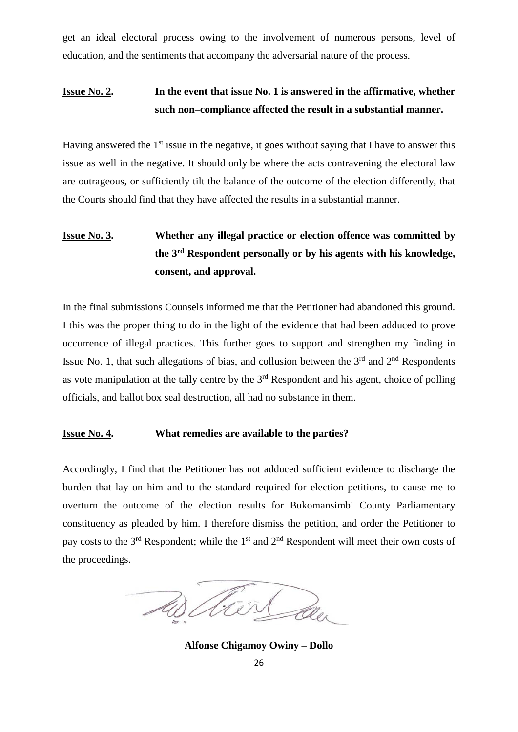get an ideal electoral process owing to the involvement of numerous persons, level of education, and the sentiments that accompany the adversarial nature of the process.

## **Issue No. 2. In the event that issue No. 1 is answered in the affirmative, whether such non–compliance affected the result in a substantial manner.**

Having answered the  $1<sup>st</sup>$  issue in the negative, it goes without saying that I have to answer this issue as well in the negative. It should only be where the acts contravening the electoral law are outrageous, or sufficiently tilt the balance of the outcome of the election differently, that the Courts should find that they have affected the results in a substantial manner.

# **Issue No. 3. Whether any illegal practice or election offence was committed by the 3rd Respondent personally or by his agents with his knowledge, consent, and approval.**

In the final submissions Counsels informed me that the Petitioner had abandoned this ground. I this was the proper thing to do in the light of the evidence that had been adduced to prove occurrence of illegal practices. This further goes to support and strengthen my finding in Issue No. 1, that such allegations of bias, and collusion between the  $3<sup>rd</sup>$  and  $2<sup>nd</sup>$  Respondents as vote manipulation at the tally centre by the  $3<sup>rd</sup>$  Respondent and his agent, choice of polling officials, and ballot box seal destruction, all had no substance in them.

### **Issue No. 4. What remedies are available to the parties?**

Accordingly, I find that the Petitioner has not adduced sufficient evidence to discharge the burden that lay on him and to the standard required for election petitions, to cause me to overturn the outcome of the election results for Bukomansimbi County Parliamentary constituency as pleaded by him. I therefore dismiss the petition, and order the Petitioner to pay costs to the 3<sup>rd</sup> Respondent; while the 1<sup>st</sup> and 2<sup>nd</sup> Respondent will meet their own costs of the proceedings.

Vier au

**Alfonse Chigamoy Owiny – Dollo**